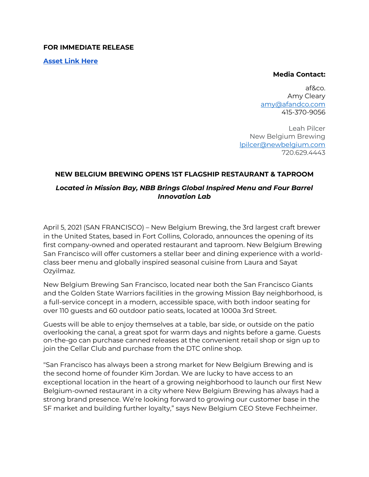#### **FOR IMMEDIATE RELEASE**

**[Asset Link Here](https://assets.newbelgium.com/share/2199AA2B-9CC0-48C2-8B1BA47FE17D5079/)**

#### **Media Contact:**

af&co. Amy Cleary [amy@afandco.com](mailto:amy@afandco.com) 415-370-9056

Leah Pilcer New Belgium Brewing lpilcer@newbelgium.com 720.629.4443

#### **NEW BELGIUM BREWING OPENS 1ST FLAGSHIP RESTAURANT & TAPROOM**

### *Located in Mission Bay, NBB Brings Global Inspired Menu and Four Barrel Innovation Lab*

April 5, 2021 (SAN FRANCISCO) – New Belgium Brewing, the 3rd largest craft brewer in the United States, based in Fort Collins, Colorado, announces the opening of its first company-owned and operated restaurant and taproom. New Belgium Brewing San Francisco will offer customers a stellar beer and dining experience with a worldclass beer menu and globally inspired seasonal cuisine from Laura and Sayat Ozyilmaz.

New Belgium Brewing San Francisco, located near both the San Francisco Giants and the Golden State Warriors facilities in the growing Mission Bay neighborhood, is a full-service concept in a modern, accessible space, with both indoor seating for over 110 guests and 60 outdoor patio seats, located at 1000a 3rd Street.

Guests will be able to enjoy themselves at a table, bar side, or outside on the patio overlooking the canal, a great spot for warm days and nights before a game. Guests on-the-go can purchase canned releases at the convenient retail shop or sign up to join the Cellar Club and purchase from the DTC online shop.

"San Francisco has always been a strong market for New Belgium Brewing and is the second home of founder Kim Jordan. We are lucky to have access to an exceptional location in the heart of a growing neighborhood to launch our first New Belgium-owned restaurant in a city where New Belgium Brewing has always had a strong brand presence. We're looking forward to growing our customer base in the SF market and building further loyalty," says New Belgium CEO Steve Fechheimer.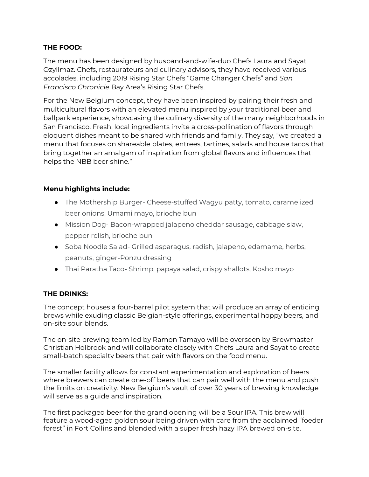## **THE FOOD:**

The menu has been designed by husband-and-wife-duo Chefs Laura and Sayat Ozyilmaz. Chefs, restaurateurs and culinary advisors, they have received various accolades, including 2019 Rising Star Chefs "Game Changer Chefs" and *San Francisco Chronicle* Bay Area's Rising Star Chefs.

For the New Belgium concept, they have been inspired by pairing their fresh and multicultural flavors with an elevated menu inspired by your traditional beer and ballpark experience, showcasing the culinary diversity of the many neighborhoods in San Francisco. Fresh, local ingredients invite a cross-pollination of flavors through eloquent dishes meant to be shared with friends and family. They say, "we created a menu that focuses on shareable plates, entrees, tartines, salads and house tacos that bring together an amalgam of inspiration from global flavors and influences that helps the NBB beer shine."

## **Menu highlights include:**

- The Mothership Burger- Cheese-stuffed Wagyu patty, tomato, caramelized beer onions, Umami mayo, brioche bun
- Mission Dog- Bacon-wrapped jalapeno cheddar sausage, cabbage slaw, pepper relish, brioche bun
- Soba Noodle Salad- Grilled asparagus, radish, jalapeno, edamame, herbs, peanuts, ginger-Ponzu dressing
- Thai Paratha Taco- Shrimp, papaya salad, crispy shallots, Kosho mayo

### **THE DRINKS:**

The concept houses a four-barrel pilot system that will produce an array of enticing brews while exuding classic Belgian-style offerings, experimental hoppy beers, and on-site sour blends.

The on-site brewing team led by Ramon Tamayo will be overseen by Brewmaster Christian Holbrook and will collaborate closely with Chefs Laura and Sayat to create small-batch specialty beers that pair with flavors on the food menu.

The smaller facility allows for constant experimentation and exploration of beers where brewers can create one-off beers that can pair well with the menu and push the limits on creativity. New Belgium's vault of over 30 years of brewing knowledge will serve as a guide and inspiration.

The first packaged beer for the grand opening will be a Sour IPA. This brew will feature a wood-aged golden sour being driven with care from the acclaimed "foeder forest" in Fort Collins and blended with a super fresh hazy IPA brewed on-site.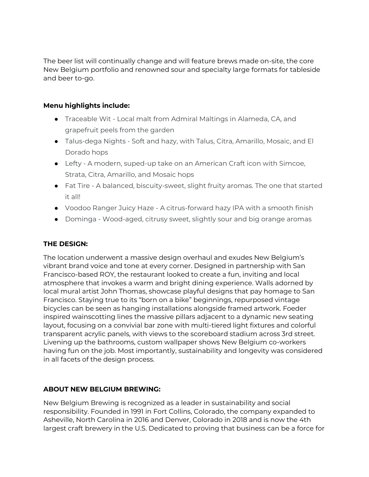The beer list will continually change and will feature brews made on-site, the core New Belgium portfolio and renowned sour and specialty large formats for tableside and beer to-go.

## **Menu highlights include:**

- Traceable Wit Local malt from Admiral Maltings in Alameda, CA, and grapefruit peels from the garden
- Talus-dega Nights Soft and hazy, with Talus, Citra, Amarillo, Mosaic, and El Dorado hops
- Lefty A modern, suped-up take on an American Craft icon with Simcoe, Strata, Citra, Amarillo, and Mosaic hops
- Fat Tire A balanced, biscuity-sweet, slight fruity aromas. The one that started it all!
- Voodoo Ranger Juicy Haze A citrus-forward hazy IPA with a smooth finish
- Dominga Wood-aged, citrusy sweet, slightly sour and big orange aromas

# **THE DESIGN:**

The location underwent a massive design overhaul and exudes New Belgium's vibrant brand voice and tone at every corner. Designed in partnership with San Francisco-based ROY, the restaurant looked to create a fun, inviting and local atmosphere that invokes a warm and bright dining experience. Walls adorned by local mural artist John Thomas, showcase playful designs that pay homage to San Francisco. Staying true to its "born on a bike" beginnings, repurposed vintage bicycles can be seen as hanging installations alongside framed artwork. Foeder inspired wainscotting lines the massive pillars adjacent to a dynamic new seating layout, focusing on a convivial bar zone with multi-tiered light fixtures and colorful transparent acrylic panels, with views to the scoreboard stadium across 3rd street. Livening up the bathrooms, custom wallpaper shows New Belgium co-workers having fun on the job. Most importantly, sustainability and longevity was considered in all facets of the design process.

# **ABOUT NEW BELGIUM BREWING:**

New Belgium Brewing is recognized as a leader in sustainability and social responsibility. Founded in 1991 in Fort Collins, Colorado, the company expanded to Asheville, North Carolina in 2016 and Denver, Colorado in 2018 and is now the 4th largest craft brewery in the U.S. Dedicated to proving that business can be a force for